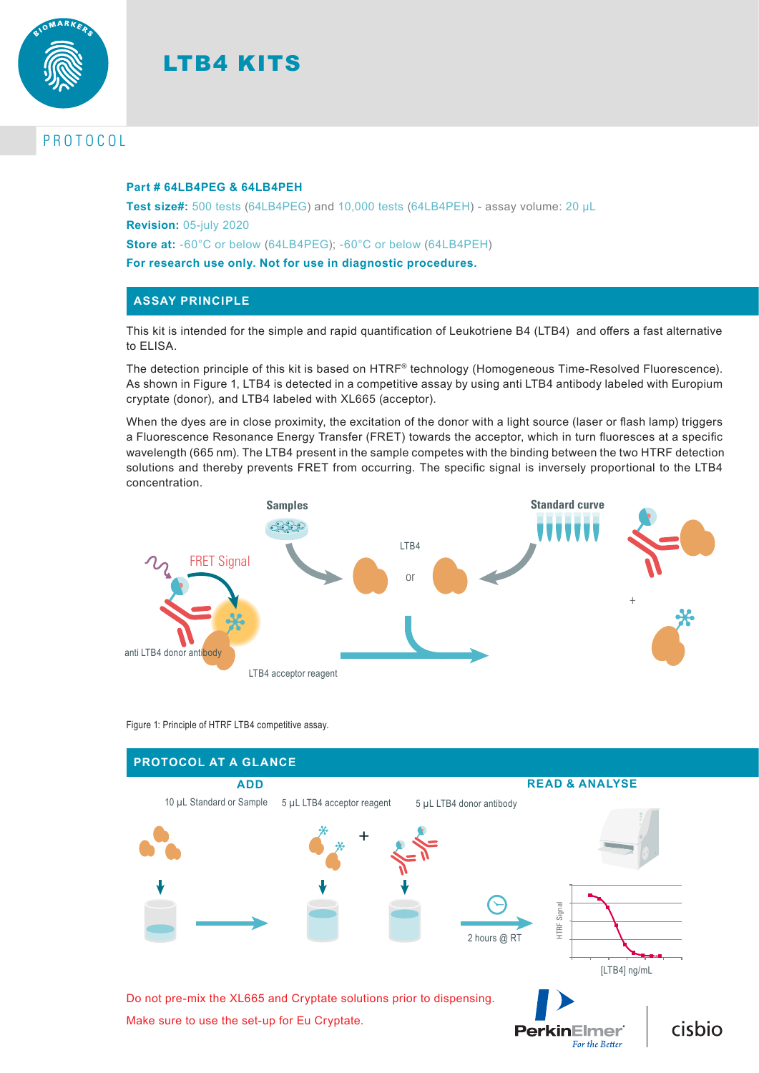



# PROTOCOL

#### **Part # 64LB4PEG & 64LB4PEH**

**Test size#:** 500 tests (64LB4PEG) and 10,000 tests (64LB4PEH) - assay volume: 20 µL **Revision:** 05-july 2020 **Store at:** -60°C or below (64LB4PEG); -60°C or below (64LB4PEH)

**For research use only. Not for use in diagnostic procedures.**

#### **ASSAY PRINCIPLE**

This kit is intended for the simple and rapid quantification of Leukotriene B4 (LTB4) and offers a fast alternative to ELISA.

The detection principle of this kit is based on HTRF® technology (Homogeneous Time-Resolved Fluorescence). As shown in Figure 1, LTB4 is detected in a competitive assay by using anti LTB4 antibody labeled with Europium cryptate (donor), and LTB4 labeled with XL665 (acceptor).

When the dyes are in close proximity, the excitation of the donor with a light source (laser or flash lamp) triggers a Fluorescence Resonance Energy Transfer (FRET) towards the acceptor, which in turn fluoresces at a specific wavelength (665 nm). The LTB4 present in the sample competes with the binding between the two HTRF detection solutions and thereby prevents FRET from occurring. The specific signal is inversely proportional to the LTB4 concentration.





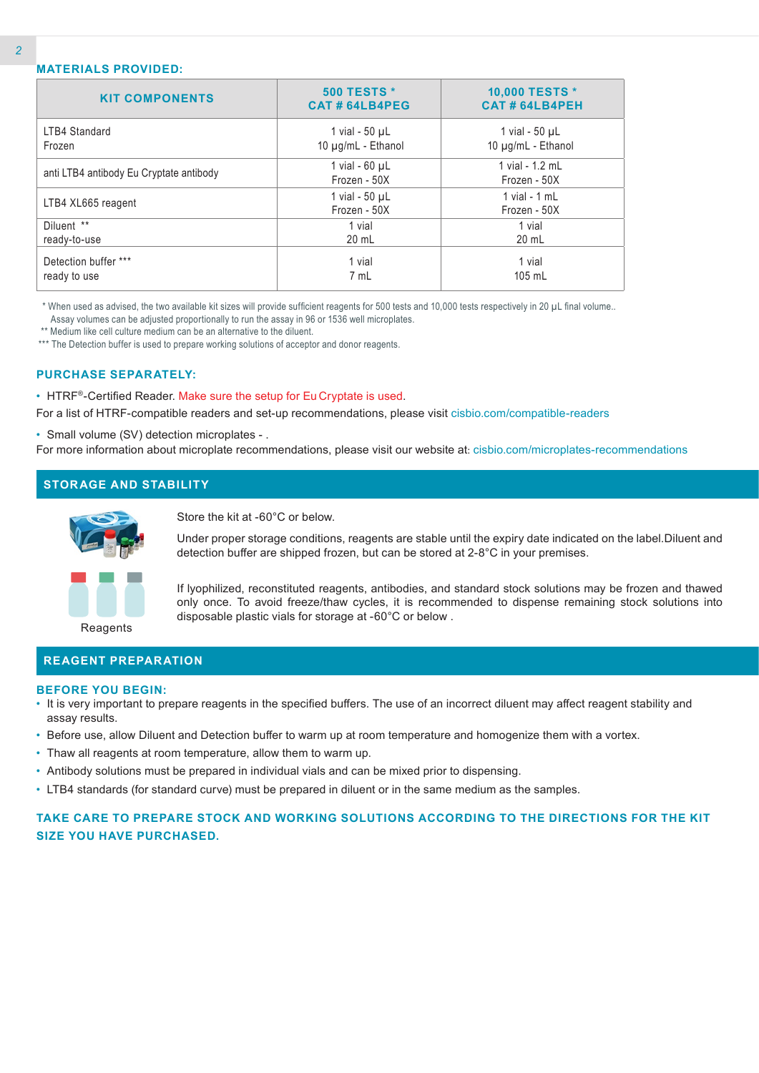| <b>KIT COMPONENTS</b>                   | <b>500 TESTS *</b><br>CAT#64LB4PEG  | 10,000 TESTS *<br>CAT#64LB4PEH  |
|-----------------------------------------|-------------------------------------|---------------------------------|
| LTB4 Standard                           | 1 vial - $50 \mu L$                 | 1 vial - $50 \mu L$             |
| Frozen                                  | 10 µg/mL - Ethanol                  | 10 µg/mL - Ethanol              |
| anti LTB4 antibody Eu Cryptate antibody | 1 vial - $60 \mu L$<br>Frozen - 50X | 1 vial - 1.2 mL<br>Frozen - 50X |
| LTB4 XL665 reagent                      | 1 vial - 50 µL<br>Frozen - 50X      | 1 vial - $1$ mL<br>Frozen - 50X |
| Diluent **                              | 1 vial                              | 1 vial                          |
| ready-to-use                            | 20 mL                               | 20 mL                           |
| Detection buffer ***                    | 1 vial                              | 1 vial                          |
| ready to use                            | 7 mL                                | 105 mL                          |

 \* When used as advised, the two available kit sizes will provide sufficient reagents for 500 tests and 10,000 tests respectively in 20 µL final volume.. Assay volumes can be adjusted proportionally to run the assay in 96 or 1536 well microplates.

\*\* Medium like cell culture medium can be an alternative to the diluent.

\*\*\* The Detection buffer is used to prepare working solutions of acceptor and donor reagents.

#### **PURCHASE SEPARATELY:**

• HTRF®-Certified Reader. Make sure the setup for Eu Cryptate is used.

For a list of HTRF-compatible readers and set-up recommendations, please visit cisbio.com/compatible-readers

• Small volume (SV) detection microplates - .

For more information about microplate recommendations, please visit our website at: cisbio.com/microplates-recommendations

## **STORAGE AND STABILITY**



Store the kit at -60°C or below.

Under proper storage conditions, reagents are stable until the expiry date indicated on the label.Diluent and detection buffer are shipped frozen, but can be stored at 2-8°C in your premises.



If lyophilized, reconstituted reagents, antibodies, and standard stock solutions may be frozen and thawed only once. To avoid freeze/thaw cycles, it is recommended to dispense remaining stock solutions into disposable plastic vials for storage at -60°C or below .

#### **REAGENT PREPARATION**

#### **BEFORE YOU BEGIN:**

- It is very important to prepare reagents in the specified buffers. The use of an incorrect diluent may affect reagent stability and assay results.
- Before use, allow Diluent and Detection buffer to warm up at room temperature and homogenize them with a vortex.
- Thaw all reagents at room temperature, allow them to warm up.
- Antibody solutions must be prepared in individual vials and can be mixed prior to dispensing.
- LTB4 standards (for standard curve) must be prepared in diluent or in the same medium as the samples.

## **TAKE CARE TO PREPARE STOCK AND WORKING SOLUTIONS ACCORDING TO THE DIRECTIONS FOR THE KIT SIZE YOU HAVE PURCHASED.**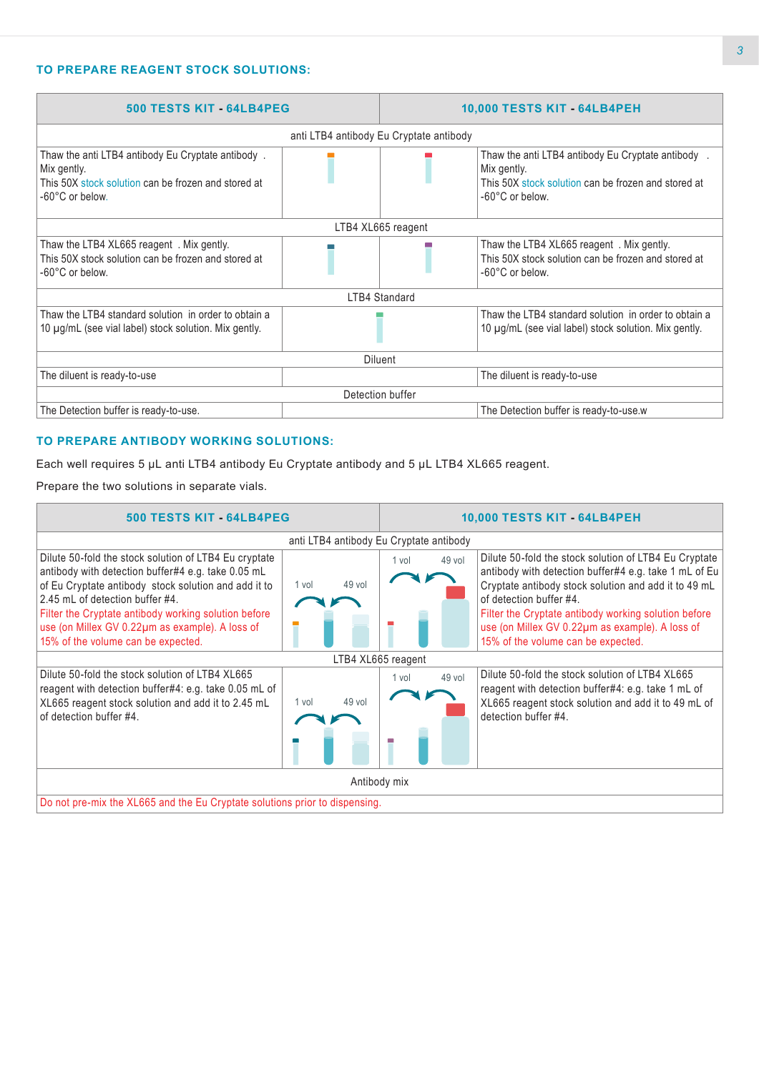#### **TO PREPARE REAGENT STOCK SOLUTIONS:**

| 500 TESTS KIT - 64LB4PEG                                                                                                                   |  |                                         | <b>10,000 TESTS KIT - 64LB4PEH</b>                                                                                                        |  |  |
|--------------------------------------------------------------------------------------------------------------------------------------------|--|-----------------------------------------|-------------------------------------------------------------------------------------------------------------------------------------------|--|--|
|                                                                                                                                            |  | anti LTB4 antibody Eu Cryptate antibody |                                                                                                                                           |  |  |
| Thaw the anti LTB4 antibody Eu Cryptate antibody.<br>Mix gently.<br>This 50X stock solution can be frozen and stored at<br>-60°C or below. |  |                                         | Thaw the anti LTB4 antibody Eu Cryptate antibody<br>Mix gently.<br>This 50X stock solution can be frozen and stored at<br>-60°C or below. |  |  |
|                                                                                                                                            |  | LTB4 XL665 reagent                      |                                                                                                                                           |  |  |
| Thaw the LTB4 XL665 reagent . Mix gently.<br>This 50X stock solution can be frozen and stored at<br>-60°C or below.                        |  |                                         | Thaw the LTB4 XL665 reagent . Mix gently.<br>This 50X stock solution can be frozen and stored at<br>-60°C or below.                       |  |  |
|                                                                                                                                            |  | LTB4 Standard                           |                                                                                                                                           |  |  |
| Thaw the LTB4 standard solution in order to obtain a<br>10 µg/mL (see vial label) stock solution. Mix gently.                              |  |                                         | Thaw the LTB4 standard solution in order to obtain a<br>10 µg/mL (see vial label) stock solution. Mix gently.                             |  |  |
| <b>Diluent</b>                                                                                                                             |  |                                         |                                                                                                                                           |  |  |
| The diluent is ready-to-use                                                                                                                |  |                                         | The diluent is ready-to-use                                                                                                               |  |  |
| Detection buffer                                                                                                                           |  |                                         |                                                                                                                                           |  |  |
| The Detection buffer is ready-to-use.                                                                                                      |  |                                         | The Detection buffer is ready-to-use.w                                                                                                    |  |  |

#### **TO PREPARE ANTIBODY WORKING SOLUTIONS:**

Each well requires 5 µL anti LTB4 antibody Eu Cryptate antibody and 5 µL LTB4 XL665 reagent.

Prepare the two solutions in separate vials.

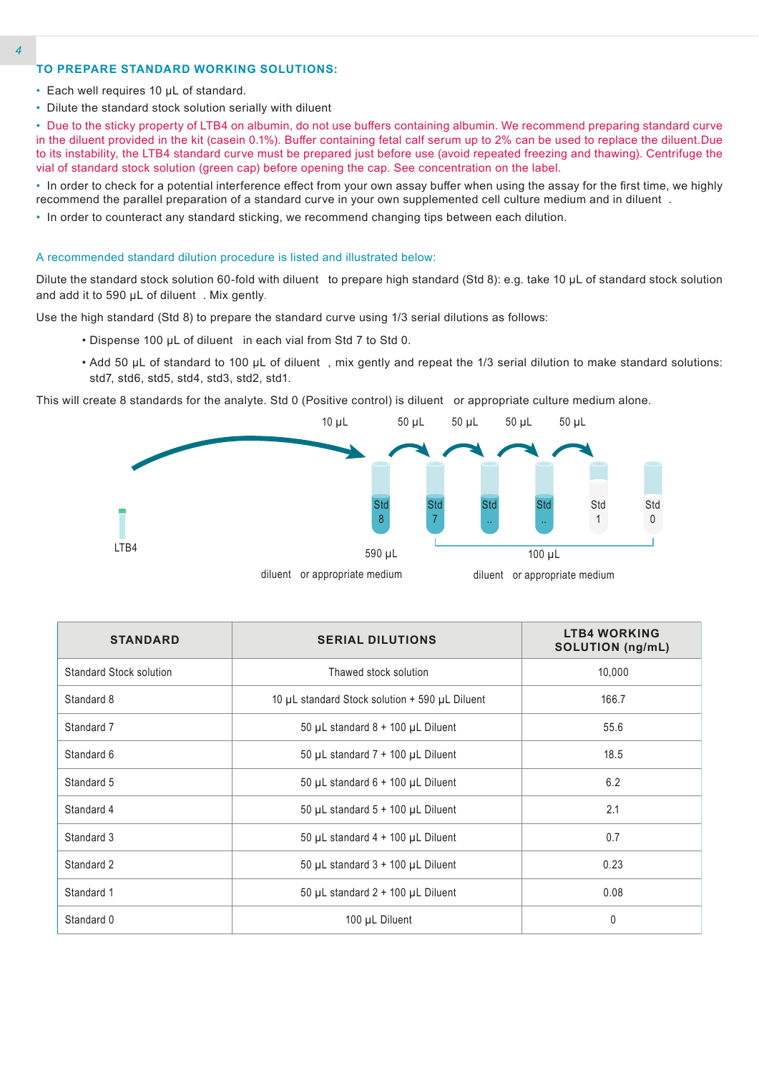#### **TO PREPARE STANDARD WORKING SOLUTIONS:**

- Each well requires 10 µL of standard.
- Dilute the standard stock solution serially with diluent

• Due to the sticky property of LTB4 on albumin, do not use buffers containing albumin. We recommend preparing standard curve in the diluent provided in the kit (casein 0.1%). Buffer containing fetal calf serum up to 2% can be used to replace the diluent.Due to its instability, the LTB4 standard curve must be prepared just before use (avoid repeated freezing and thawing). Centrifuge the vial of standard stock solution (green cap) before opening the cap. See concentration on the label.

• In order to check for a potential interference effect from your own assay buffer when using the assay for the first time, we highly recommend the parallel preparation of a standard curve in your own supplemented cell culture medium and in diluent .

• In order to counteract any standard sticking, we recommend changing tips between each dilution.

#### A recommended standard dilution procedure is listed and illustrated below:

Dilute the standard stock solution 60-fold with diluent to prepare high standard (Std 8): e.g. take 10 µL of standard stock solution and add it to 590 µL of diluent . Mix gently.

Use the high standard (Std 8) to prepare the standard curve using 1/3 serial dilutions as follows:

- Dispense 100 µL of diluent in each vial from Std 7 to Std 0.
- Add 50 µL of standard to 100 µL of diluent , mix gently and repeat the 1/3 serial dilution to make standard solutions: std7, std6, std5, std4, std3, std2, std1.

This will create 8 standards for the analyte. Std 0 (Positive control) is diluent or appropriate culture medium alone.



| <b>STANDARD</b>         | <b>SERIAL DILUTIONS</b>                        | <b>LTB4 WORKING</b><br><b>SOLUTION (ng/mL)</b> |
|-------------------------|------------------------------------------------|------------------------------------------------|
| Standard Stock solution | Thawed stock solution                          | 10,000                                         |
| Standard 8              | 10 µL standard Stock solution + 590 µL Diluent | 166.7                                          |
| Standard 7              | 50 µL standard $8 + 100$ µL Diluent            | 55.6                                           |
| Standard 6              | 50 µL standard $7 + 100$ µL Diluent            | 18.5                                           |
| Standard 5              | 50 µL standard $6 + 100$ µL Diluent            | 6.2                                            |
| Standard 4              | 50 µL standard $5 + 100$ µL Diluent            | 2.1                                            |
| Standard 3              | 50 µL standard $4 + 100$ µL Diluent            | 0.7                                            |
| Standard 2              | 50 µL standard $3 + 100$ µL Diluent            | 0.23                                           |
| Standard 1              | 50 µL standard $2 + 100$ µL Diluent            | 0.08                                           |
| Standard 0              | 100 µL Diluent                                 | $\mathbf{0}$                                   |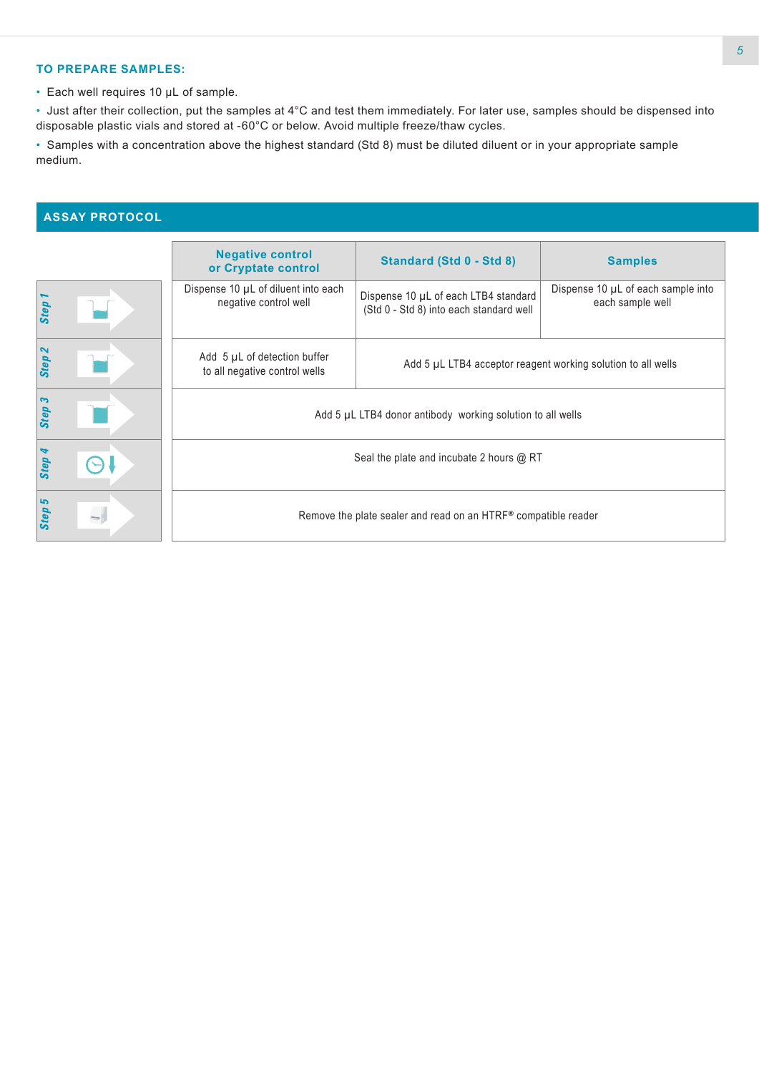#### **TO PREPARE SAMPLES:**

• Each well requires 10 µL of sample.

• Just after their collection, put the samples at 4°C and test them immediately. For later use, samples should be dispensed into disposable plastic vials and stored at -60°C or below. Avoid multiple freeze/thaw cycles.

• Samples with a concentration above the highest standard (Std 8) must be diluted diluent or in your appropriate sample medium.

# **ASSAY PROTOCOL**

|                   | <b>Negative control</b><br>or Cryptate control                 | Standard (Std 0 - Std 8)                                                        | <b>Samples</b>                                         |  |  |
|-------------------|----------------------------------------------------------------|---------------------------------------------------------------------------------|--------------------------------------------------------|--|--|
| Step              | Dispense 10 µL of diluent into each<br>negative control well   | Dispense 10 µL of each LTB4 standard<br>(Std 0 - Std 8) into each standard well | Dispense 10 µL of each sample into<br>each sample well |  |  |
| Step <sub>2</sub> | Add 5 µL of detection buffer<br>to all negative control wells  | Add 5 µL LTB4 acceptor reagent working solution to all wells                    |                                                        |  |  |
| Step 3            | Add 5 µL LTB4 donor antibody working solution to all wells     |                                                                                 |                                                        |  |  |
| Step 4            | Seal the plate and incubate 2 hours @ RT                       |                                                                                 |                                                        |  |  |
| Step 5            | Remove the plate sealer and read on an HTRF® compatible reader |                                                                                 |                                                        |  |  |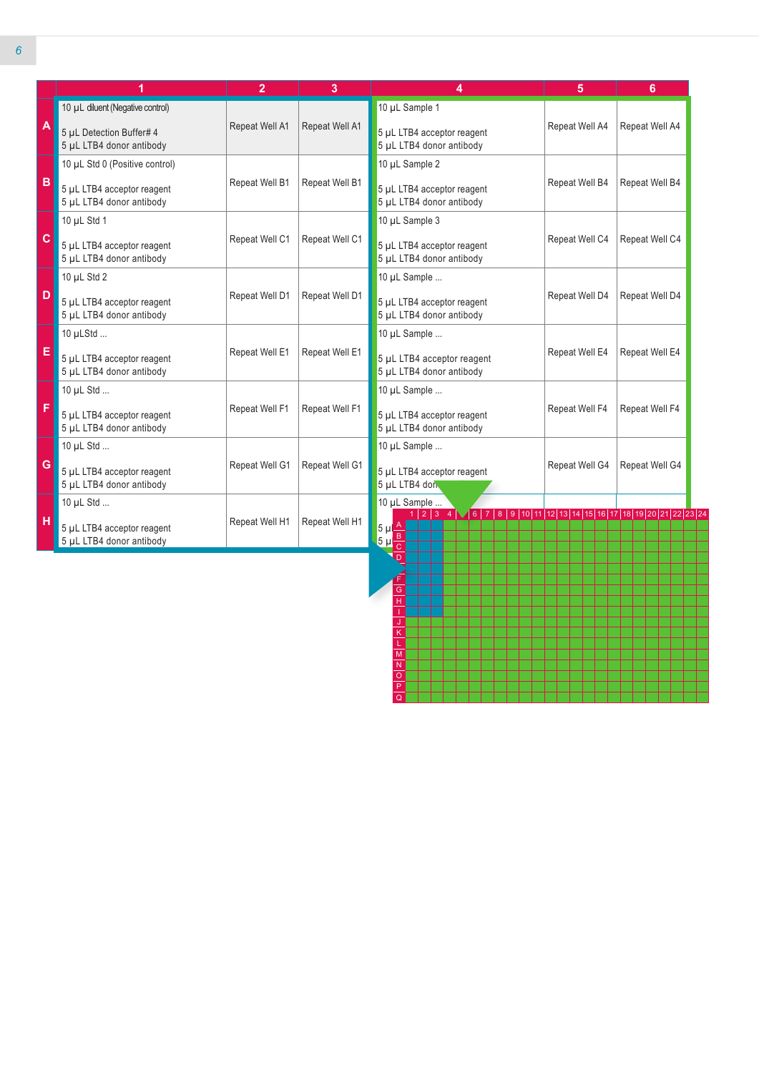|              | 1                                                      | $\overline{2}$                                                                             | 3              | 4                                                                                                                           | 5              | 6              |
|--------------|--------------------------------------------------------|--------------------------------------------------------------------------------------------|----------------|-----------------------------------------------------------------------------------------------------------------------------|----------------|----------------|
|              | 10 µL diluent (Negative control)                       |                                                                                            |                | 10 µL Sample 1                                                                                                              |                |                |
| $\mathsf{A}$ | 5 µL Detection Buffer# 4<br>5 µL LTB4 donor antibody   | Repeat Well A1                                                                             | Repeat Well A1 | 5 µL LTB4 acceptor reagent<br>5 µL LTB4 donor antibody                                                                      | Repeat Well A4 | Repeat Well A4 |
|              | 10 µL Std 0 (Positive control)                         |                                                                                            |                | 10 µL Sample 2                                                                                                              |                |                |
| B            | 5 µL LTB4 acceptor reagent<br>5 µL LTB4 donor antibody | Repeat Well B1                                                                             | Repeat Well B1 | 5 µL LTB4 acceptor reagent<br>5 µL LTB4 donor antibody                                                                      | Repeat Well B4 | Repeat Well B4 |
|              | 10 µL Std 1                                            | 10 µL Sample 3                                                                             |                |                                                                                                                             |                |                |
| $\mathbf{C}$ | 5 µL LTB4 acceptor reagent<br>5 µL LTB4 donor antibody | Repeat Well C1<br>Repeat Well C1<br>5 µL LTB4 acceptor reagent<br>5 µL LTB4 donor antibody |                |                                                                                                                             |                | Repeat Well C4 |
|              | 10 $\mu$ L Std 2                                       |                                                                                            |                | 10 µL Sample                                                                                                                |                | Repeat Well D4 |
| $\mathbf{D}$ | 5 µL LTB4 acceptor reagent<br>5 µL LTB4 donor antibody | Repeat Well D1                                                                             | Repeat Well D1 | 5 µL LTB4 acceptor reagent<br>5 µL LTB4 donor antibody                                                                      | Repeat Well D4 |                |
|              | 10 µLStd                                               | 10 µL Sample                                                                               |                |                                                                                                                             |                |                |
| E            | 5 µL LTB4 acceptor reagent<br>5 µL LTB4 donor antibody | Repeat Well E1                                                                             | Repeat Well E1 | 5 µL LTB4 acceptor reagent<br>5 µL LTB4 donor antibody                                                                      | Repeat Well E4 | Repeat Well E4 |
|              | 10 µL Std                                              |                                                                                            |                | 10 µL Sample                                                                                                                |                |                |
| F            | 5 µL LTB4 acceptor reagent<br>5 µL LTB4 donor antibody | Repeat Well F1                                                                             | Repeat Well F1 | 5 µL LTB4 acceptor reagent<br>5 µL LTB4 donor antibody                                                                      | Repeat Well F4 | Repeat Well F4 |
|              | 10 µL Std                                              |                                                                                            |                | 10 µL Sample                                                                                                                |                |                |
| G            | 5 µL LTB4 acceptor reagent<br>5 µL LTB4 donor antibody | Repeat Well G1                                                                             | Repeat Well G1 | 5 µL LTB4 acceptor reagent<br>5 µL LTB4 don                                                                                 | Repeat Well G4 | Repeat Well G4 |
|              | 10 µL Std                                              |                                                                                            |                | 10 µL Sample                                                                                                                |                |                |
| H            | 5 µL LTB4 acceptor reagent<br>5 µL LTB4 donor antibody | Repeat Well H1                                                                             | Repeat Well H1 | 1 2 3 4 $\sqrt{6}$ 7 8 9 10 11 12 13 14 15 16 17 18 19 20 21 22 23 24<br>$5 \mu \triangle$<br>$\frac{1}{5} \mu \frac{B}{C}$ |                |                |

F G H I J K L M N O P Q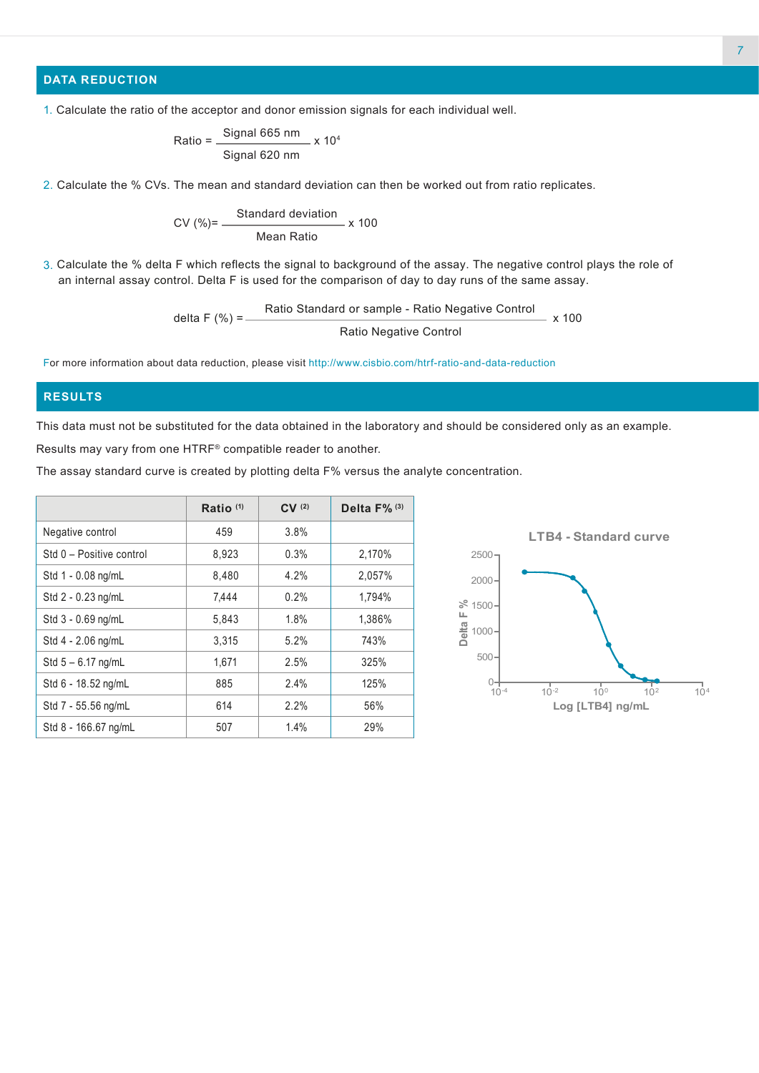## **DATA REDUCTION**

Ratio = 
$$
\frac{\text{Signal 665 nm}}{\text{Signal 620 nm}} \times 10^4
$$

2. Calculate the % CVs. The mean and standard deviation can then be worked out from ratio replicates.

$$
CV (%) = \frac{Standard deviation}{Mean Ratio} \times 100
$$

3. Calculate the % delta F which reflects the signal to background of the assay. The negative control plays the role of an internal assay control. Delta F is used for the comparison of day to day runs of the same assay.

$$
delta F (%) = \frac{Ratio Standard or sample - Ratio Negative Control}{Ratio Negative Control} \times 100
$$

For more information about data reduction, please visit http://www.cisbio.com/htrf-ratio-and-data-reduction

#### **RESULTS**

This data must not be substituted for the data obtained in the laboratory and should be considered only as an example. Results may vary from one HTRF® compatible reader to another.

The assay standard curve is created by plotting delta F% versus the analyte concentration.

|                          | Ratio $(1)$ | CV(2) | Delta $F\%$ <sup>(3)</sup> |
|--------------------------|-------------|-------|----------------------------|
| Negative control         | 459         | 3.8%  |                            |
| Std 0 - Positive control | 8,923       | 0.3%  | 2,170%                     |
| Std 1 - 0.08 ng/mL       | 8.480       | 4.2%  | 2,057%                     |
| Std 2 - 0.23 ng/mL       | 7.444       | 0.2%  | 1,794%                     |
| Std 3 - 0.69 ng/mL       | 5,843       | 1.8%  | 1,386%                     |
| Std 4 - 2.06 ng/mL       | 3.315       | 5.2%  | 743%                       |
| Std $5 - 6.17$ ng/mL     | 1,671       | 2.5%  | 325%                       |
| Std 6 - 18.52 ng/mL      | 885         | 2.4%  | 125%                       |
| Std 7 - 55.56 ng/mL      | 614         | 2.2%  | 56%                        |
| Std 8 - 166.67 ng/mL     | 507         | 1.4%  | 29%                        |